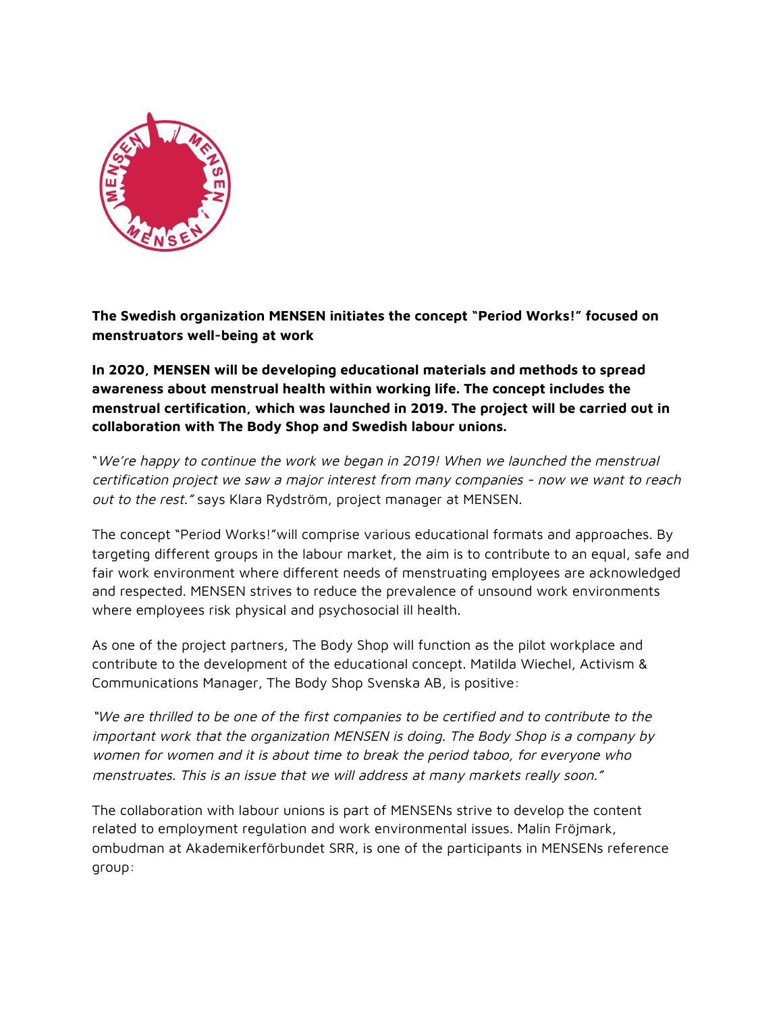

**The Swedish organization MENSEN initiates the concept "Period Works!" focused on menstruators well-being at work**

**In 2020, MENSEN will be developing educational materials and methods to spread awareness about menstrual health within working life. The concept includes the menstrual certification, which was launched in 2019. The project will be carried out in collaboration with The Body Shop and Swedish labour unions.**

"We're happy to continue the work we began in 2019! When we launched the menstrual certification project we saw <sup>a</sup> major interest from many companies - now we want to reach out to the rest." says Klara Rydström, project manager at MENSEN.

The concept "Period Works!"will comprise various educational formats and approaches. By targeting different groups in the labour market, the aim is to contribute to an equal, safe and fair work environment where different needs of menstruating employees are acknowledged and respected. MENSEN strives to reduce the prevalence of unsound work environments where employees risk physical and psychosocial ill health.

As one of the project partners, The Body Shop will function as the pilot workplace and contribute to the development of the educational concept. Matilda Wiechel, Activism & Communications Manager, The Body Shop Svenska AB, is positive:

"We are thrilled to be one of the first companies to be certified and to contribute to the important work that the organization MENSEN is doing. The Body Shop is <sup>a</sup> company by women for women and it is about time to break the period taboo, for everyone who menstruates. This is an issue that we will address at many markets really soon."

The collaboration with labour unions is part of MENSENs strive to develop the content related to employment regulation and work environmental issues. Malin Fröjmark, ombudman at Akademikerförbundet SRR, is one of the participants in MENSENs reference group: